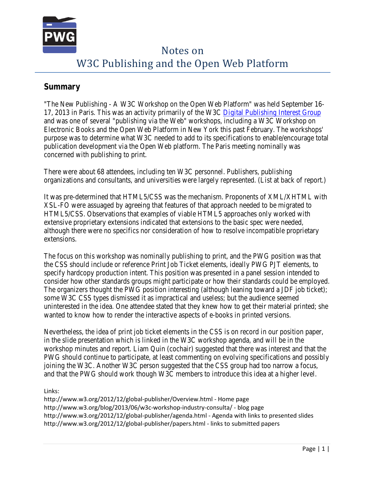

# Notes on W3C Publishing and the Open Web Platform

#### **Summary**

"The New Publishing - A W3C Workshop on the Open Web Platform" was held September 16- 17, 2013 in Paris. This was an activity primarily of the W3C [Digital Publishing Interest Group](http://www.w3.org/dpub/IG/) and was one of several "publishing via the Web" workshops, including a W3C Workshop on Electronic Books and the Open Web Platform in New York this past February. The workshops' purpose was to determine what W3C needed to add to its specifications to enable/encourage total publication development via the Open Web platform. The Paris meeting nominally was concerned with publishing to print.

There were about 68 attendees, including ten W3C personnel. Publishers, publishing organizations and consultants, and universities were largely represented. (List at back of report.)

It was pre-determined that HTML5/CSS was the mechanism. Proponents of XML/XHTML with XSL-FO were assuaged by agreeing that features of that approach needed to be migrated to HTML5/CSS. Observations that examples of viable HTML5 approaches only worked with extensive proprietary extensions indicated that extensions to the basic spec were needed, although there were no specifics nor consideration of how to resolve incompatible proprietary extensions.

The focus on this workshop was nominally publishing to print, and the PWG position was that the CSS should include or reference Print Job Ticket elements, ideally PWG PJT elements, to specify hardcopy production intent. This position was presented in a panel session intended to consider how other standards groups might participate or how their standards could be employed. The organizers thought the PWG position interesting (although leaning toward a JDF job ticket); some W3C CSS types dismissed it as impractical and useless; but the audience seemed uninterested in the idea. One attendee stated that they knew how to get their material printed; she wanted to know how to render the interactive aspects of e-books in printed versions.

Nevertheless, the idea of print job ticket elements in the CSS is on record in our position paper, in the slide presentation which is linked in the W3C workshop agenda, and will be in the workshop minutes and report. Liam Quin (cochair) suggested that there was interest and that the PWG should continue to participate, at least commenting on evolving specifications and possibly joining the W3C. Another W3C person suggested that the CSS group had too narrow a focus, and that the PWG should work though W3C members to introduce this idea at a higher level.

Links:

http://www.w3.org/2012/12/global-publisher/Overview.html - Home page http://www.w3.org/blog/2013/06/w3c-workshop-industry-consulta/ - blog page http://www.w3.org/2012/12/global-publisher/agenda.html - Agenda with links to presented slides http://www.w3.org/2012/12/global-publisher/papers.html - links to submitted papers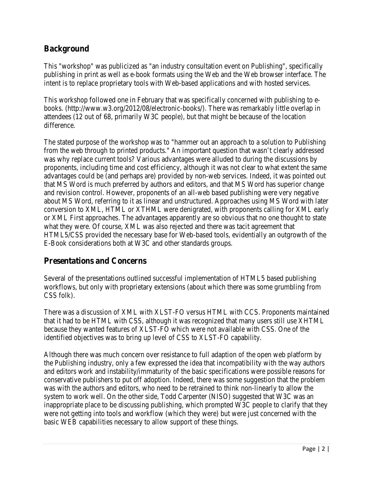## **Background**

This "workshop" was publicized as "an industry consultation event on Publishing", specifically publishing in print as well as e-book formats using the Web and the Web browser interface. The intent is to replace proprietary tools with Web-based applications and with hosted services.

This workshop followed one in February that was specifically concerned with publishing to ebooks. (http://www.w3.org/2012/08/electronic-books/). There was remarkably little overlap in attendees (12 out of 68, primarily W3C people), but that might be because of the location difference.

The stated purpose of the workshop was to "hammer out an approach to a solution to Publishing from the web through to printed products." An important question that wasn't clearly addressed was why replace current tools? Various advantages were alluded to during the discussions by proponents, including time and cost efficiency, although it was not clear to what extent the same advantages could be (and perhaps are) provided by non-web services. Indeed, it was pointed out that MS Word is much preferred by authors and editors, and that MS Word has superior change and revision control. However, proponents of an all-web based publishing were very negative about MS Word, referring to it as linear and unstructured. Approaches using MS Word with later conversion to XML, HTML or XTHML were denigrated, with proponents calling for XML early or XML First approaches. The advantages apparently are so obvious that no one thought to state what they were. Of course, XML was also rejected and there was tacit agreement that HTML5/CSS provided the necessary base for Web-based tools, evidentially an outgrowth of the E-Book considerations both at W3C and other standards groups.

# **Presentations and Concerns**

Several of the presentations outlined successful implementation of HTML5 based publishing workflows, but only with proprietary extensions (about which there was some grumbling from CSS folk).

There was a discussion of XML with XLST-FO versus HTML with CCS. Proponents maintained that it had to be HTML with CSS, although it was recognized that many users still use XHTML because they wanted features of XLST-FO which were not available with CSS. One of the identified objectives was to bring up level of CSS to XLST-FO capability.

Although there was much concern over resistance to full adaption of the open web platform by the Publishing industry, only a few expressed the idea that incompatibility with the way authors and editors work and instability/immaturity of the basic specifications were possible reasons for conservative publishers to put off adoption. Indeed, there was some suggestion that the problem was with the authors and editors, who need to be retrained to think non-linearly to allow the system to work well. On the other side, Todd Carpenter (NISO) suggested that W3C was an inappropriate place to be discussing publishing, which prompted W3C people to clarify that they were not getting into tools and workflow (which they were) but were just concerned with the basic WEB capabilities necessary to allow support of these things.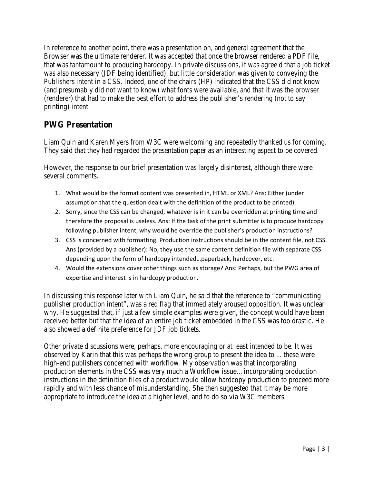In reference to another point, there was a presentation on, and general agreement that the Browser was the ultimate renderer. It was accepted that once the browser rendered a PDF file, that was tantamount to producing hardcopy. In private discussions, it was agree d that a job ticket was also necessary (JDF being identified), but little consideration was given to conveying the Publishers intent in a CSS. Indeed, one of the chairs (HP) indicated that the CSS did not know (and presumably did not want to know) what fonts were available, and that it was the browser (renderer) that had to make the best effort to address the publisher's rendering (not to say printing) intent.

# **PWG Presentation**

Liam Quin and Karen Myers from W3C were welcoming and repeatedly thanked us for coming. They said that they had regarded the presentation paper as an interesting aspect to be covered.

However, the response to our brief presentation was largely disinterest, although there were several comments.

- 1. What would be the format content was presented in, HTML or XML? Ans: Either (under assumption that the question dealt with the definition of the product to be printed)
- 2. Sorry, since the CSS can be changed, whatever is in it can be overridden at printing time and therefore the proposal is useless. Ans: If the task of the print submitter is to produce hardcopy following publisher intent, why would he override the publisher's production instructions?
- 3. CSS is concerned with formatting. Production instructions should be in the content file, not CSS. Ans (provided by a publisher): No, they use the same content definition file with separate CSS depending upon the form of hardcopy intended…paperback, hardcover, etc.
- 4. Would the extensions cover other things such as storage? Ans: Perhaps, but the PWG area of expertise and interest is in hardcopy production.

In discussing this response later with Liam Quin, he said that the reference to "communicating publisher production intent", was a red flag that immediately aroused opposition. It was unclear why. He suggested that, if just a few simple examples were given, the concept would have been received better but that the idea of an entire job ticket embedded in the CSS was too drastic. He also showed a definite preference for JDF job tickets.

Other private discussions were, perhaps, more encouraging or at least intended to be. It was observed by Karin that this was perhaps the wrong group to present the idea to ... these were high-end publishers concerned with workflow. My observation was that incorporating production elements in the CSS was very much a Workflow issue…incorporating production instructions in the definition files of a product would allow hardcopy production to proceed more rapidly and with less chance of misunderstanding. She then suggested that it may be more appropriate to introduce the idea at a higher level, and to do so via W3C members.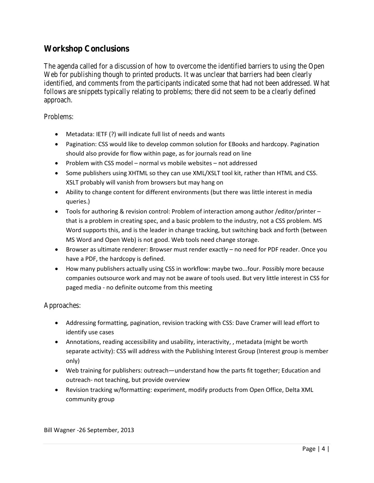### **Workshop Conclusions**

The agenda called for a discussion of how to overcome the identified barriers to using the Open Web for publishing though to printed products. It was unclear that barriers had been clearly identified, and comments from the participants indicated some that had not been addressed. What follows are snippets typically relating to problems; there did not seem to be a clearly defined approach.

Problems:

- Metadata: IETF (?) will indicate full list of needs and wants
- Pagination: CSS would like to develop common solution for EBooks and hardcopy. Pagination should also provide for flow within page, as for journals read on line
- Problem with CSS model normal vs mobile websites not addressed
- Some publishers using XHTML so they can use XML/XSLT tool kit, rather than HTML and CSS. XSLT probably will vanish from browsers but may hang on
- Ability to change content for different environments (but there was little interest in media queries.)
- Tools for authoring & revision control: Problem of interaction among author /editor/printer that is a problem in creating spec, and a basic problem to the industry, not a CSS problem. MS Word supports this, and is the leader in change tracking, but switching back and forth (between MS Word and Open Web) is not good. Web tools need change storage.
- Browser as ultimate renderer: Browser must render exactly no need for PDF reader. Once you have a PDF, the hardcopy is defined.
- How many publishers actually using CSS in workflow: maybe two...four. Possibly more because companies outsource work and may not be aware of tools used. But very little interest in CSS for paged media - no definite outcome from this meeting

Approaches:

- Addressing formatting, pagination, revision tracking with CSS: Dave Cramer will lead effort to identify use cases
- Annotations, reading accessibility and usability, interactivity, , metadata (might be worth separate activity): CSS will address with the Publishing Interest Group (Interest group is member only)
- Web training for publishers: outreach—understand how the parts fit together; Education and outreach- not teaching, but provide overview
- Revision tracking w/formatting: experiment, modify products from Open Office, Delta XML community group

Bill Wagner -26 September, 2013